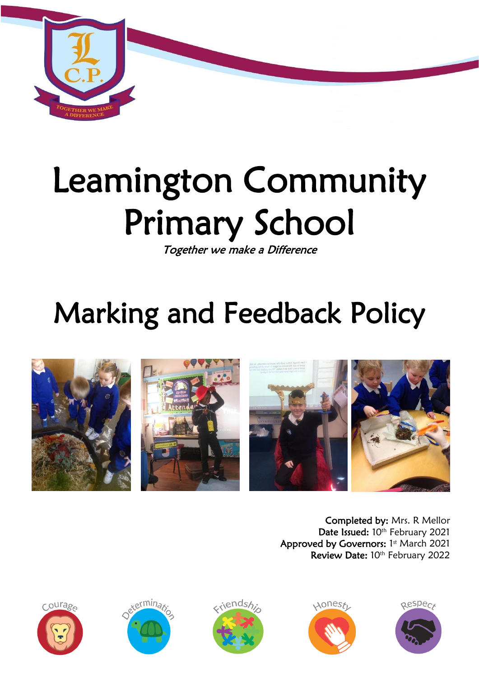

# Leamington Community Primary School

Together we make a Difference

## Marking and Feedback Policy



Completed by: Mrs. R Mellor Date Issued: 10th February 2021 Approved by Governors: 1st March 2021 Review Date: 10th February 2022









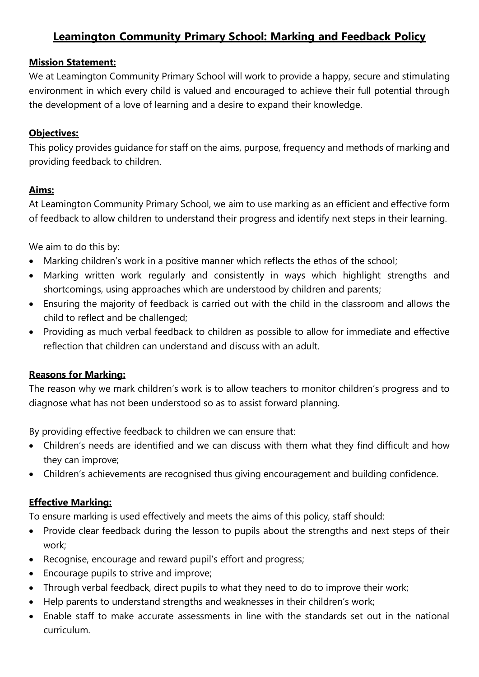#### **Leamington Community Primary School: Marking and Feedback Policy**

#### **Mission Statement:**

We at Leamington Community Primary School will work to provide a happy, secure and stimulating environment in which every child is valued and encouraged to achieve their full potential through the development of a love of learning and a desire to expand their knowledge.

#### **Objectives:**

This policy provides guidance for staff on the aims, purpose, frequency and methods of marking and providing feedback to children.

#### **Aims:**

At Leamington Community Primary School, we aim to use marking as an efficient and effective form of feedback to allow children to understand their progress and identify next steps in their learning.

We aim to do this by:

- Marking children's work in a positive manner which reflects the ethos of the school;
- Marking written work regularly and consistently in ways which highlight strengths and shortcomings, using approaches which are understood by children and parents;
- Ensuring the majority of feedback is carried out with the child in the classroom and allows the child to reflect and be challenged;
- Providing as much verbal feedback to children as possible to allow for immediate and effective reflection that children can understand and discuss with an adult.

#### **Reasons for Marking:**

The reason why we mark children's work is to allow teachers to monitor children's progress and to diagnose what has not been understood so as to assist forward planning.

By providing effective feedback to children we can ensure that:

- Children's needs are identified and we can discuss with them what they find difficult and how they can improve;
- Children's achievements are recognised thus giving encouragement and building confidence.

#### **Effective Marking:**

To ensure marking is used effectively and meets the aims of this policy, staff should:

- Provide clear feedback during the lesson to pupils about the strengths and next steps of their work;
- Recognise, encourage and reward pupil's effort and progress;
- Encourage pupils to strive and improve;
- Through verbal feedback, direct pupils to what they need to do to improve their work;
- Help parents to understand strengths and weaknesses in their children's work;
- Enable staff to make accurate assessments in line with the standards set out in the national curriculum.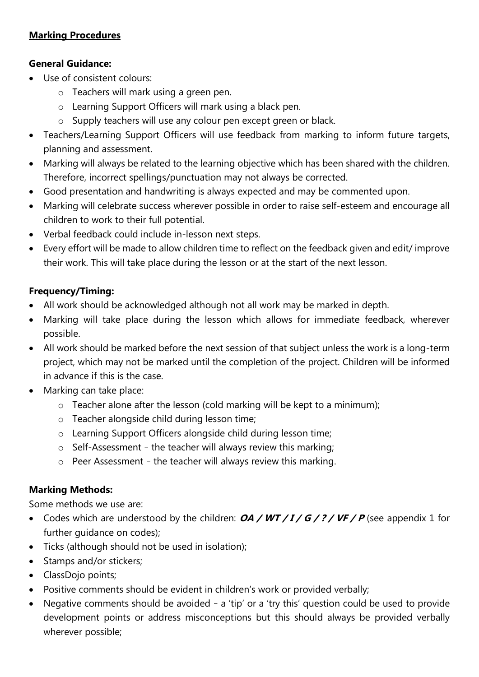#### **Marking Procedures**

#### **General Guidance:**

- Use of consistent colours:
	- o Teachers will mark using a green pen.
	- o Learning Support Officers will mark using a black pen.
	- o Supply teachers will use any colour pen except green or black.
- Teachers/Learning Support Officers will use feedback from marking to inform future targets, planning and assessment.
- Marking will always be related to the learning objective which has been shared with the children. Therefore, incorrect spellings/punctuation may not always be corrected.
- Good presentation and handwriting is always expected and may be commented upon.
- Marking will celebrate success wherever possible in order to raise self-esteem and encourage all children to work to their full potential.
- Verbal feedback could include in-lesson next steps.
- Every effort will be made to allow children time to reflect on the feedback given and edit/ improve their work. This will take place during the lesson or at the start of the next lesson.

#### **Frequency/Timing:**

- All work should be acknowledged although not all work may be marked in depth.
- Marking will take place during the lesson which allows for immediate feedback, wherever possible.
- All work should be marked before the next session of that subject unless the work is a long-term project, which may not be marked until the completion of the project. Children will be informed in advance if this is the case.
- Marking can take place:
	- $\circ$  Teacher alone after the lesson (cold marking will be kept to a minimum);
	- o Teacher alongside child during lesson time;
	- o Learning Support Officers alongside child during lesson time;
	- o Self-Assessment the teacher will always review this marking;
	- o Peer Assessment the teacher will always review this marking.

#### **Marking Methods:**

Some methods we use are:

- Codes which are understood by the children: **OA / WT / I / G / ? / VF / P** (see appendix 1 for further guidance on codes);
- Ticks (although should not be used in isolation);
- Stamps and/or stickers;
- ClassDojo points;
- Positive comments should be evident in children's work or provided verbally;
- Negative comments should be avoided a 'tip' or a 'try this' question could be used to provide development points or address misconceptions but this should always be provided verbally wherever possible;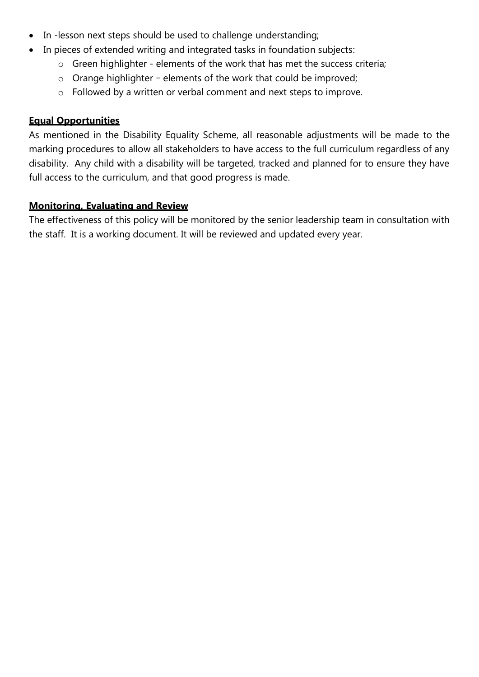- In -lesson next steps should be used to challenge understanding;
- In pieces of extended writing and integrated tasks in foundation subjects:
	- o Green highlighter elements of the work that has met the success criteria;
	- o Orange highlighter elements of the work that could be improved;
	- o Followed by a written or verbal comment and next steps to improve.

#### **Equal Opportunities**

As mentioned in the Disability Equality Scheme, all reasonable adjustments will be made to the marking procedures to allow all stakeholders to have access to the full curriculum regardless of any disability. Any child with a disability will be targeted, tracked and planned for to ensure they have full access to the curriculum, and that good progress is made.

#### **Monitoring, Evaluating and Review**

The effectiveness of this policy will be monitored by the senior leadership team in consultation with the staff. It is a working document. It will be reviewed and updated every year.